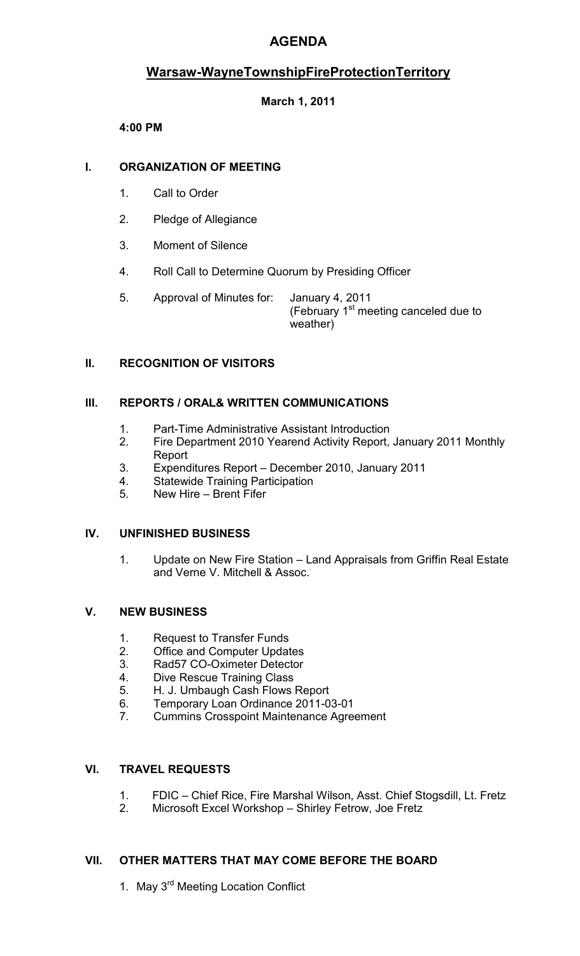# **AGENDA**

# **Warsaw-WayneTownshipFireProtectionTerritory**

# **March 1, 2011**

# **4:00 PM**

# **I. ORGANIZATION OF MEETING**

- 1. Call to Order
- 2. Pledge of Allegiance
- 3. Moment of Silence
- 4. Roll Call to Determine Quorum by Presiding Officer
- 5. Approval of Minutes for: January 4, 2011 (February  $1<sup>st</sup>$  meeting canceled due to weather)

# **II. RECOGNITION OF VISITORS**

# **III. REPORTS / ORAL& WRITTEN COMMUNICATIONS**

- 1. Part-Time Administrative Assistant Introduction
- 2. Fire Department 2010 Yearend Activity Report, January 2011 Monthly Report
- 3. Expenditures Report December 2010, January 2011
- 4. Statewide Training Participation
- 5. New Hire Brent Fifer

#### **IV. UNFINISHED BUSINESS**

1. Update on New Fire Station – Land Appraisals from Griffin Real Estate and Verne V. Mitchell & Assoc.

#### **V. NEW BUSINESS**

- 1. Request to Transfer Funds
- 2. Office and Computer Updates
- 3. Rad57 CO-Oximeter Detector
- 4. Dive Rescue Training Class
- 5. H. J. Umbaugh Cash Flows Report
- 6. Temporary Loan Ordinance 2011-03-01
- 7. Cummins Crosspoint Maintenance Agreement

# **VI. TRAVEL REQUESTS**

- 1. FDIC Chief Rice, Fire Marshal Wilson, Asst. Chief Stogsdill, Lt. Fretz
- 2. Microsoft Excel Workshop Shirley Fetrow, Joe Fretz

#### **VII. OTHER MATTERS THAT MAY COME BEFORE THE BOARD**

1. May 3<sup>rd</sup> Meeting Location Conflict